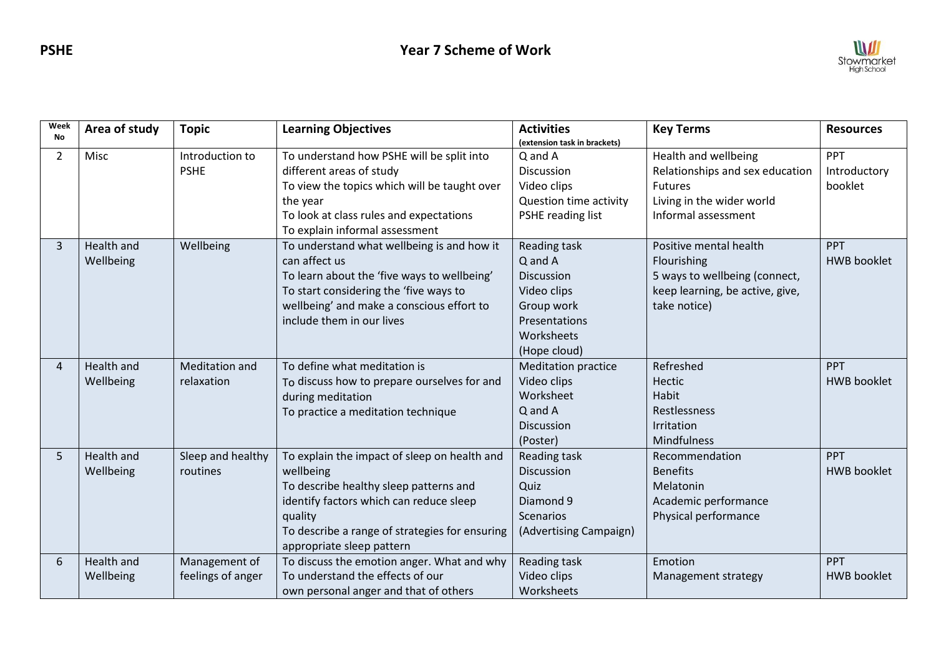

| Week<br><b>No</b> | Area of study     | <b>Topic</b>          | <b>Learning Objectives</b>                     | <b>Activities</b><br>(extension task in brackets) | <b>Key Terms</b>                | <b>Resources</b>   |
|-------------------|-------------------|-----------------------|------------------------------------------------|---------------------------------------------------|---------------------------------|--------------------|
| $\overline{2}$    | Misc              | Introduction to       | To understand how PSHE will be split into      | Q and A                                           | Health and wellbeing            | PPT                |
|                   |                   | <b>PSHE</b>           | different areas of study                       | <b>Discussion</b>                                 | Relationships and sex education | Introductory       |
|                   |                   |                       | To view the topics which will be taught over   | Video clips                                       | <b>Futures</b>                  | booklet            |
|                   |                   |                       | the year                                       | Question time activity                            | Living in the wider world       |                    |
|                   |                   |                       | To look at class rules and expectations        | PSHE reading list                                 | Informal assessment             |                    |
|                   |                   |                       | To explain informal assessment                 |                                                   |                                 |                    |
| 3                 | Health and        | Wellbeing             | To understand what wellbeing is and how it     | Reading task                                      | Positive mental health          | PPT                |
|                   | Wellbeing         |                       | can affect us                                  | Q and A                                           | Flourishing                     | <b>HWB</b> booklet |
|                   |                   |                       | To learn about the 'five ways to wellbeing'    | <b>Discussion</b>                                 | 5 ways to wellbeing (connect,   |                    |
|                   |                   |                       | To start considering the 'five ways to         | Video clips                                       | keep learning, be active, give, |                    |
|                   |                   |                       | wellbeing' and make a conscious effort to      | Group work                                        | take notice)                    |                    |
|                   |                   |                       | include them in our lives                      | <b>Presentations</b>                              |                                 |                    |
|                   |                   |                       |                                                | Worksheets                                        |                                 |                    |
|                   |                   |                       |                                                | (Hope cloud)                                      |                                 |                    |
| 4                 | Health and        | <b>Meditation and</b> | To define what meditation is                   | <b>Meditation practice</b>                        | Refreshed                       | PPT                |
|                   | Wellbeing         | relaxation            | To discuss how to prepare ourselves for and    | Video clips                                       | <b>Hectic</b>                   | <b>HWB</b> booklet |
|                   |                   |                       | during meditation                              | Worksheet                                         | <b>Habit</b>                    |                    |
|                   |                   |                       | To practice a meditation technique             | Q and A                                           | Restlessness                    |                    |
|                   |                   |                       |                                                | <b>Discussion</b>                                 | Irritation                      |                    |
|                   |                   |                       |                                                | (Poster)                                          | Mindfulness                     |                    |
| 5                 | Health and        | Sleep and healthy     | To explain the impact of sleep on health and   | Reading task                                      | Recommendation                  | PPT                |
|                   | Wellbeing         | routines              | wellbeing                                      | Discussion                                        | <b>Benefits</b>                 | <b>HWB</b> booklet |
|                   |                   |                       | To describe healthy sleep patterns and         | Quiz                                              | Melatonin                       |                    |
|                   |                   |                       | identify factors which can reduce sleep        | Diamond 9                                         | Academic performance            |                    |
|                   |                   |                       | quality                                        | Scenarios                                         | Physical performance            |                    |
|                   |                   |                       | To describe a range of strategies for ensuring | (Advertising Campaign)                            |                                 |                    |
|                   |                   |                       | appropriate sleep pattern                      |                                                   |                                 |                    |
| 6                 | <b>Health and</b> | Management of         | To discuss the emotion anger. What and why     | Reading task                                      | Emotion                         | <b>PPT</b>         |
|                   | Wellbeing         | feelings of anger     | To understand the effects of our               | Video clips                                       | Management strategy             | <b>HWB</b> booklet |
|                   |                   |                       | own personal anger and that of others          | Worksheets                                        |                                 |                    |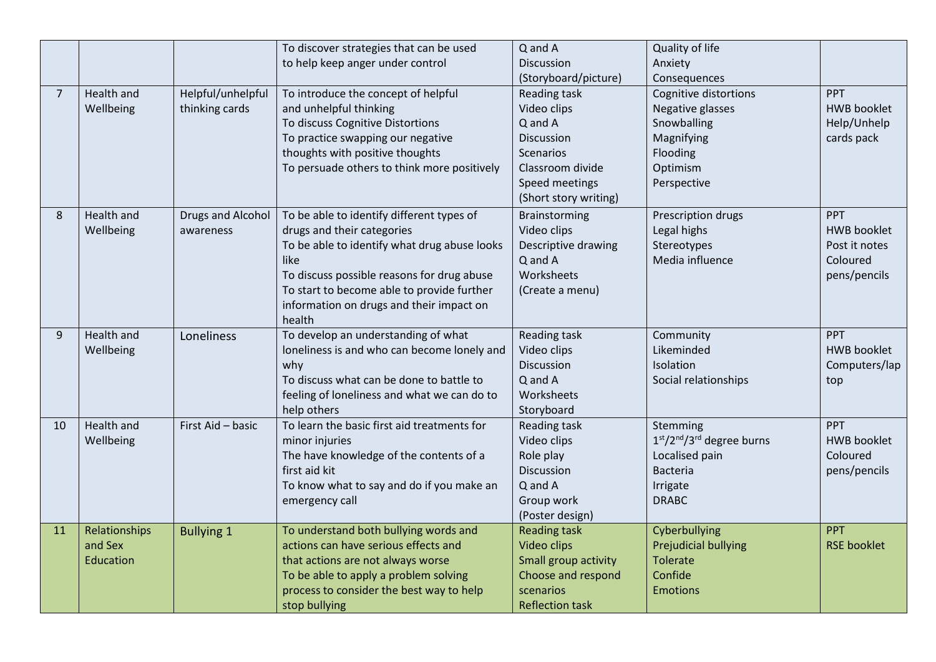|                |               |                   | To discover strategies that can be used         | Q and A                | Quality of life             |                    |
|----------------|---------------|-------------------|-------------------------------------------------|------------------------|-----------------------------|--------------------|
|                |               |                   | to help keep anger under control                | Discussion             | Anxiety                     |                    |
|                |               |                   |                                                 | (Storyboard/picture)   | Consequences                |                    |
| $\overline{7}$ | Health and    | Helpful/unhelpful | To introduce the concept of helpful             | Reading task           | Cognitive distortions       | <b>PPT</b>         |
|                | Wellbeing     | thinking cards    | and unhelpful thinking                          | Video clips            | Negative glasses            | <b>HWB booklet</b> |
|                |               |                   | To discuss Cognitive Distortions                | Q and A                | Snowballing                 | Help/Unhelp        |
|                |               |                   | To practice swapping our negative               | Discussion             | Magnifying                  | cards pack         |
|                |               |                   | thoughts with positive thoughts                 | <b>Scenarios</b>       | Flooding                    |                    |
|                |               |                   | To persuade others to think more positively     | Classroom divide       | Optimism                    |                    |
|                |               |                   |                                                 | Speed meetings         | Perspective                 |                    |
|                |               |                   |                                                 | (Short story writing)  |                             |                    |
| 8              | Health and    | Drugs and Alcohol | To be able to identify different types of       | Brainstorming          | Prescription drugs          | <b>PPT</b>         |
|                | Wellbeing     | awareness         | drugs and their categories                      | Video clips            | Legal highs                 | <b>HWB booklet</b> |
|                |               |                   | To be able to identify what drug abuse looks    | Descriptive drawing    | Stereotypes                 | Post it notes      |
|                |               |                   | like                                            | Q and A                | Media influence             | Coloured           |
|                |               |                   | To discuss possible reasons for drug abuse      | Worksheets             |                             | pens/pencils       |
|                |               |                   | To start to become able to provide further      | (Create a menu)        |                             |                    |
|                |               |                   | information on drugs and their impact on        |                        |                             |                    |
|                |               |                   | health                                          |                        |                             |                    |
| 9              | Health and    | Loneliness        | To develop an understanding of what             | Reading task           | Community                   | <b>PPT</b>         |
|                | Wellbeing     |                   | loneliness is and who can become lonely and     | Video clips            | Likeminded<br>Isolation     | <b>HWB booklet</b> |
|                |               |                   | why<br>To discuss what can be done to battle to | Discussion<br>Q and A  | Social relationships        | Computers/lap      |
|                |               |                   | feeling of loneliness and what we can do to     | Worksheets             |                             | top                |
|                |               |                   | help others                                     | Storyboard             |                             |                    |
| 10             | Health and    | First Aid - basic | To learn the basic first aid treatments for     | Reading task           | Stemming                    | <b>PPT</b>         |
|                | Wellbeing     |                   | minor injuries                                  | Video clips            | $1st/2nd/3rd$ degree burns  | <b>HWB booklet</b> |
|                |               |                   | The have knowledge of the contents of a         | Role play              | Localised pain              | Coloured           |
|                |               |                   | first aid kit                                   | Discussion             | <b>Bacteria</b>             | pens/pencils       |
|                |               |                   | To know what to say and do if you make an       | Q and A                | Irrigate                    |                    |
|                |               |                   | emergency call                                  | Group work             | <b>DRABC</b>                |                    |
|                |               |                   |                                                 | (Poster design)        |                             |                    |
| 11             | Relationships | <b>Bullying 1</b> | To understand both bullying words and           | <b>Reading task</b>    | Cyberbullying               | <b>PPT</b>         |
|                | and Sex       |                   | actions can have serious effects and            | <b>Video clips</b>     | <b>Prejudicial bullying</b> | <b>RSE booklet</b> |
|                | Education     |                   | that actions are not always worse               | Small group activity   | <b>Tolerate</b>             |                    |
|                |               |                   | To be able to apply a problem solving           | Choose and respond     | Confide                     |                    |
|                |               |                   | process to consider the best way to help        | scenarios              | <b>Emotions</b>             |                    |
|                |               |                   | stop bullying                                   | <b>Reflection task</b> |                             |                    |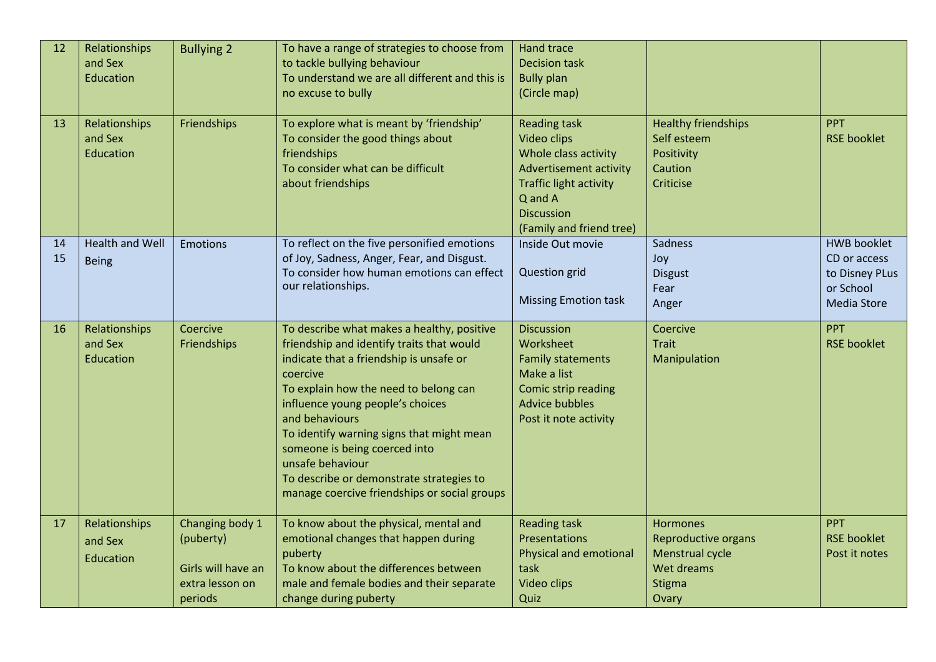| 12<br>13 | Relationships<br>and Sex<br>Education<br>Relationships | <b>Bullying 2</b><br>Friendships                                                 | To have a range of strategies to choose from<br>to tackle bullying behaviour<br>To understand we are all different and this is<br>no excuse to bully<br>To explore what is meant by 'friendship'                                                                                                                                                                                                                                            | <b>Hand trace</b><br><b>Decision task</b><br><b>Bully plan</b><br>(Circle map)<br><b>Reading task</b>                                                             | <b>Healthy friendships</b>                                                                 | <b>PPT</b>                                                                              |
|----------|--------------------------------------------------------|----------------------------------------------------------------------------------|---------------------------------------------------------------------------------------------------------------------------------------------------------------------------------------------------------------------------------------------------------------------------------------------------------------------------------------------------------------------------------------------------------------------------------------------|-------------------------------------------------------------------------------------------------------------------------------------------------------------------|--------------------------------------------------------------------------------------------|-----------------------------------------------------------------------------------------|
|          | and Sex<br>Education                                   |                                                                                  | To consider the good things about<br>friendships<br>To consider what can be difficult<br>about friendships                                                                                                                                                                                                                                                                                                                                  | Video clips<br>Whole class activity<br><b>Advertisement activity</b><br><b>Traffic light activity</b><br>Q and A<br><b>Discussion</b><br>(Family and friend tree) | Self esteem<br>Positivity<br>Caution<br>Criticise                                          | <b>RSE booklet</b>                                                                      |
| 14<br>15 | <b>Health and Well</b><br><b>Being</b>                 | <b>Emotions</b>                                                                  | To reflect on the five personified emotions<br>of Joy, Sadness, Anger, Fear, and Disgust.<br>To consider how human emotions can effect<br>our relationships.                                                                                                                                                                                                                                                                                | Inside Out movie<br><b>Question</b> grid<br><b>Missing Emotion task</b>                                                                                           | Sadness<br>Joy<br><b>Disgust</b><br>Fear<br>Anger                                          | <b>HWB booklet</b><br>CD or access<br>to Disney PLus<br>or School<br><b>Media Store</b> |
| 16       | Relationships<br>and Sex<br>Education                  | Coercive<br>Friendships                                                          | To describe what makes a healthy, positive<br>friendship and identify traits that would<br>indicate that a friendship is unsafe or<br>coercive<br>To explain how the need to belong can<br>influence young people's choices<br>and behaviours<br>To identify warning signs that might mean<br>someone is being coerced into<br>unsafe behaviour<br>To describe or demonstrate strategies to<br>manage coercive friendships or social groups | <b>Discussion</b><br>Worksheet<br><b>Family statements</b><br>Make a list<br>Comic strip reading<br><b>Advice bubbles</b><br>Post it note activity                | Coercive<br><b>Trait</b><br>Manipulation                                                   | PPT<br><b>RSE booklet</b>                                                               |
| 17       | Relationships<br>and Sex<br>Education                  | Changing body 1<br>(puberty)<br>Girls will have an<br>extra lesson on<br>periods | To know about the physical, mental and<br>emotional changes that happen during<br>puberty<br>To know about the differences between<br>male and female bodies and their separate<br>change during puberty                                                                                                                                                                                                                                    | <b>Reading task</b><br>Presentations<br><b>Physical and emotional</b><br>task<br>Video clips<br>Quiz                                                              | Hormones<br><b>Reproductive organs</b><br>Menstrual cycle<br>Wet dreams<br>Stigma<br>Ovary | <b>PPT</b><br><b>RSE booklet</b><br>Post it notes                                       |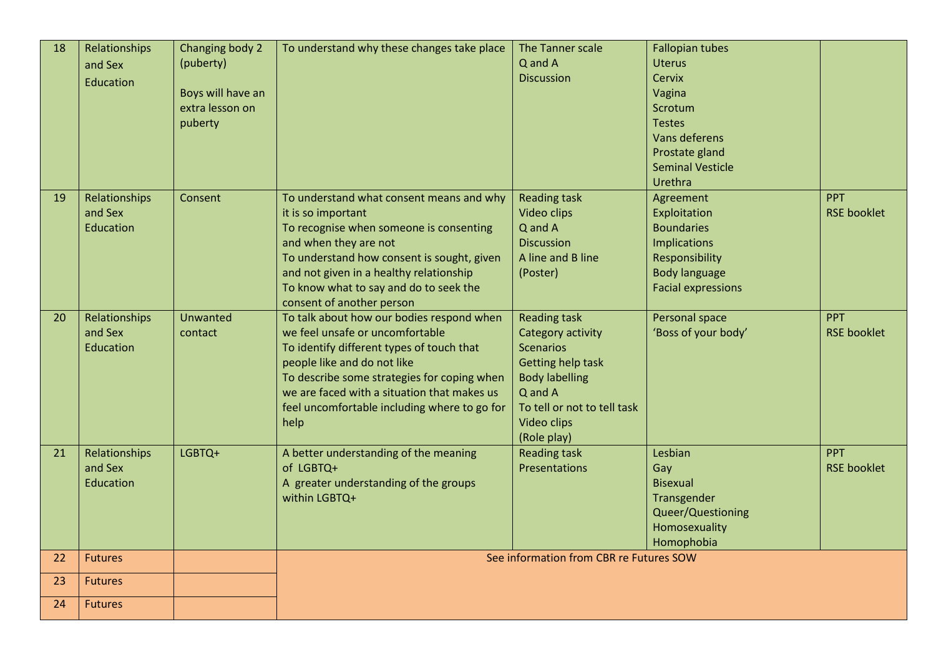| 18 | Relationships<br>and Sex<br>Education | Changing body 2<br>(puberty)<br>Boys will have an<br>extra lesson on<br>puberty | To understand why these changes take place                                                                                                                                                                                                                                                                     | The Tanner scale<br>Q and A<br><b>Discussion</b>                                                                                                                                   | <b>Fallopian tubes</b><br><b>Uterus</b><br><b>Cervix</b><br>Vagina<br>Scrotum<br><b>Testes</b><br>Vans deferens<br>Prostate gland<br><b>Seminal Vesticle</b><br>Urethra |                                  |
|----|---------------------------------------|---------------------------------------------------------------------------------|----------------------------------------------------------------------------------------------------------------------------------------------------------------------------------------------------------------------------------------------------------------------------------------------------------------|------------------------------------------------------------------------------------------------------------------------------------------------------------------------------------|-------------------------------------------------------------------------------------------------------------------------------------------------------------------------|----------------------------------|
| 19 | Relationships<br>and Sex<br>Education | Consent                                                                         | To understand what consent means and why<br>it is so important<br>To recognise when someone is consenting<br>and when they are not<br>To understand how consent is sought, given<br>and not given in a healthy relationship<br>To know what to say and do to seek the<br>consent of another person             | <b>Reading task</b><br>Video clips<br>Q and A<br><b>Discussion</b><br>A line and B line<br>(Poster)                                                                                | Agreement<br>Exploitation<br><b>Boundaries</b><br><b>Implications</b><br>Responsibility<br><b>Body language</b><br><b>Facial expressions</b>                            | PPT<br><b>RSE booklet</b>        |
| 20 | Relationships<br>and Sex<br>Education | Unwanted<br>contact                                                             | To talk about how our bodies respond when<br>we feel unsafe or uncomfortable<br>To identify different types of touch that<br>people like and do not like<br>To describe some strategies for coping when<br>we are faced with a situation that makes us<br>feel uncomfortable including where to go for<br>help | <b>Reading task</b><br>Category activity<br><b>Scenarios</b><br>Getting help task<br><b>Body labelling</b><br>Q and A<br>To tell or not to tell task<br>Video clips<br>(Role play) | Personal space<br>'Boss of your body'                                                                                                                                   | <b>PPT</b><br><b>RSE booklet</b> |
| 21 | Relationships<br>and Sex<br>Education | LGBTQ+                                                                          | A better understanding of the meaning<br>of LGBTQ+<br>A greater understanding of the groups<br>within LGBTQ+                                                                                                                                                                                                   | <b>Reading task</b><br>Presentations                                                                                                                                               | Lesbian<br>Gay<br><b>Bisexual</b><br>Transgender<br>Queer/Questioning<br>Homosexuality<br>Homophobia                                                                    | <b>PPT</b><br><b>RSE booklet</b> |
| 22 | <b>Futures</b>                        |                                                                                 |                                                                                                                                                                                                                                                                                                                | See information from CBR re Futures SOW                                                                                                                                            |                                                                                                                                                                         |                                  |
| 23 | <b>Futures</b>                        |                                                                                 |                                                                                                                                                                                                                                                                                                                |                                                                                                                                                                                    |                                                                                                                                                                         |                                  |
| 24 | <b>Futures</b>                        |                                                                                 |                                                                                                                                                                                                                                                                                                                |                                                                                                                                                                                    |                                                                                                                                                                         |                                  |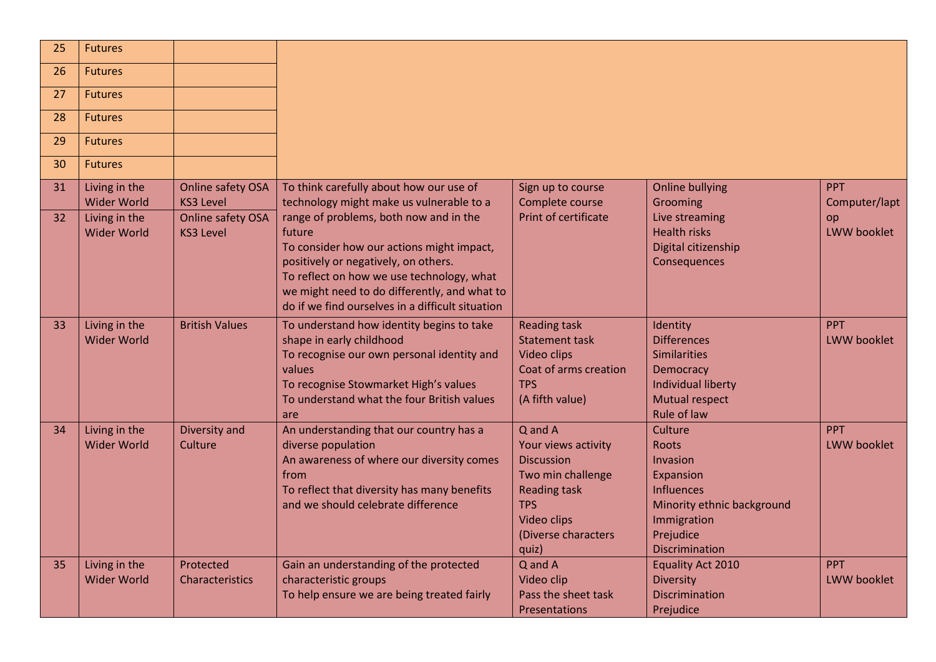| 25       | <b>Futures</b>                                       |                                                            |                                                                                                                                                                                                                                              |                                                                                                                                                              |                                                                                                                                                          |                                   |
|----------|------------------------------------------------------|------------------------------------------------------------|----------------------------------------------------------------------------------------------------------------------------------------------------------------------------------------------------------------------------------------------|--------------------------------------------------------------------------------------------------------------------------------------------------------------|----------------------------------------------------------------------------------------------------------------------------------------------------------|-----------------------------------|
| 26       | <b>Futures</b>                                       |                                                            |                                                                                                                                                                                                                                              |                                                                                                                                                              |                                                                                                                                                          |                                   |
| 27       | <b>Futures</b>                                       |                                                            |                                                                                                                                                                                                                                              |                                                                                                                                                              |                                                                                                                                                          |                                   |
| 28       | <b>Futures</b>                                       |                                                            |                                                                                                                                                                                                                                              |                                                                                                                                                              |                                                                                                                                                          |                                   |
| 29       | <b>Futures</b>                                       |                                                            |                                                                                                                                                                                                                                              |                                                                                                                                                              |                                                                                                                                                          |                                   |
| 30       | <b>Futures</b>                                       |                                                            |                                                                                                                                                                                                                                              |                                                                                                                                                              |                                                                                                                                                          |                                   |
| 31<br>32 | Living in the<br><b>Wider World</b><br>Living in the | Online safety OSA<br><b>KS3 Level</b><br>Online safety OSA | To think carefully about how our use of<br>technology might make us vulnerable to a<br>range of problems, both now and in the                                                                                                                | Sign up to course<br>Complete course<br>Print of certificate                                                                                                 | <b>Online bullying</b><br>Grooming<br>Live streaming                                                                                                     | <b>PPT</b><br>Computer/lapt<br>op |
|          | <b>Wider World</b>                                   | <b>KS3 Level</b>                                           | future<br>To consider how our actions might impact,<br>positively or negatively, on others.<br>To reflect on how we use technology, what<br>we might need to do differently, and what to<br>do if we find ourselves in a difficult situation |                                                                                                                                                              | <b>Health risks</b><br>Digital citizenship<br>Consequences                                                                                               | LWW booklet                       |
| 33       | Living in the<br><b>Wider World</b>                  | <b>British Values</b>                                      | To understand how identity begins to take<br>shape in early childhood<br>To recognise our own personal identity and<br>values<br>To recognise Stowmarket High's values<br>To understand what the four British values<br>are                  | <b>Reading task</b><br><b>Statement task</b><br>Video clips<br>Coat of arms creation<br><b>TPS</b><br>(A fifth value)                                        | Identity<br><b>Differences</b><br><b>Similarities</b><br>Democracy<br>Individual liberty<br><b>Mutual respect</b><br>Rule of law                         | <b>PPT</b><br><b>LWW booklet</b>  |
| 34       | Living in the<br><b>Wider World</b>                  | Diversity and<br>Culture                                   | An understanding that our country has a<br>diverse population<br>An awareness of where our diversity comes<br>from<br>To reflect that diversity has many benefits<br>and we should celebrate difference                                      | Q and A<br>Your views activity<br><b>Discussion</b><br>Two min challenge<br><b>Reading task</b><br><b>TPS</b><br>Video clips<br>(Diverse characters<br>quiz) | Culture<br><b>Roots</b><br>Invasion<br>Expansion<br><b>Influences</b><br>Minority ethnic background<br>Immigration<br>Prejudice<br><b>Discrimination</b> | <b>PPT</b><br><b>LWW booklet</b>  |
| 35       | Living in the<br><b>Wider World</b>                  | Protected<br>Characteristics                               | Gain an understanding of the protected<br>characteristic groups<br>To help ensure we are being treated fairly                                                                                                                                | Q and A<br>Video clip<br>Pass the sheet task<br>Presentations                                                                                                | <b>Equality Act 2010</b><br><b>Diversity</b><br><b>Discrimination</b><br>Prejudice                                                                       | <b>PPT</b><br>LWW booklet         |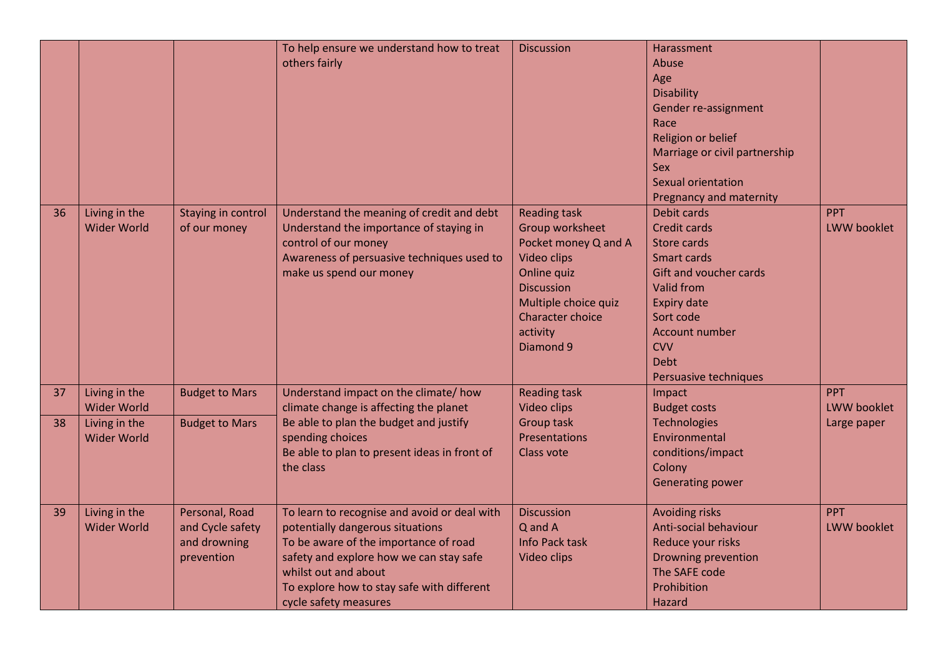|          |                                                                            |                                                                  | To help ensure we understand how to treat<br>others fairly                                                                                                                                                                                                          | <b>Discussion</b>                                                                                                                                                                                    | Harassment<br>Abuse<br>Age<br><b>Disability</b><br>Gender re-assignment<br>Race<br>Religion or belief<br>Marriage or civil partnership<br><b>Sex</b><br>Sexual orientation<br>Pregnancy and maternity                             |                                                 |
|----------|----------------------------------------------------------------------------|------------------------------------------------------------------|---------------------------------------------------------------------------------------------------------------------------------------------------------------------------------------------------------------------------------------------------------------------|------------------------------------------------------------------------------------------------------------------------------------------------------------------------------------------------------|-----------------------------------------------------------------------------------------------------------------------------------------------------------------------------------------------------------------------------------|-------------------------------------------------|
| 36       | Living in the<br><b>Wider World</b>                                        | Staying in control<br>of our money                               | Understand the meaning of credit and debt<br>Understand the importance of staying in<br>control of our money<br>Awareness of persuasive techniques used to<br>make us spend our money                                                                               | <b>Reading task</b><br>Group worksheet<br>Pocket money Q and A<br>Video clips<br><b>Online quiz</b><br><b>Discussion</b><br>Multiple choice quiz<br><b>Character choice</b><br>activity<br>Diamond 9 | Debit cards<br><b>Credit cards</b><br>Store cards<br>Smart cards<br><b>Gift and voucher cards</b><br><b>Valid from</b><br><b>Expiry date</b><br>Sort code<br>Account number<br><b>CVV</b><br><b>Debt</b><br>Persuasive techniques | <b>PPT</b><br><b>LWW booklet</b>                |
| 37<br>38 | Living in the<br><b>Wider World</b><br>Living in the<br><b>Wider World</b> | <b>Budget to Mars</b><br><b>Budget to Mars</b>                   | Understand impact on the climate/how<br>climate change is affecting the planet<br>Be able to plan the budget and justify<br>spending choices<br>Be able to plan to present ideas in front of<br>the class                                                           | <b>Reading task</b><br><b>Video clips</b><br><b>Group task</b><br><b>Presentations</b><br>Class vote                                                                                                 | Impact<br><b>Budget costs</b><br><b>Technologies</b><br>Environmental<br>conditions/impact<br>Colony<br><b>Generating power</b>                                                                                                   | <b>PPT</b><br><b>LWW booklet</b><br>Large paper |
| 39       | Living in the<br><b>Wider World</b>                                        | Personal, Road<br>and Cycle safety<br>and drowning<br>prevention | To learn to recognise and avoid or deal with<br>potentially dangerous situations<br>To be aware of the importance of road<br>safety and explore how we can stay safe<br>whilst out and about<br>To explore how to stay safe with different<br>cycle safety measures | <b>Discussion</b><br>Q and A<br>Info Pack task<br>Video clips                                                                                                                                        | <b>Avoiding risks</b><br>Anti-social behaviour<br>Reduce your risks<br>Drowning prevention<br>The SAFE code<br>Prohibition<br>Hazard                                                                                              | <b>PPT</b><br><b>LWW booklet</b>                |